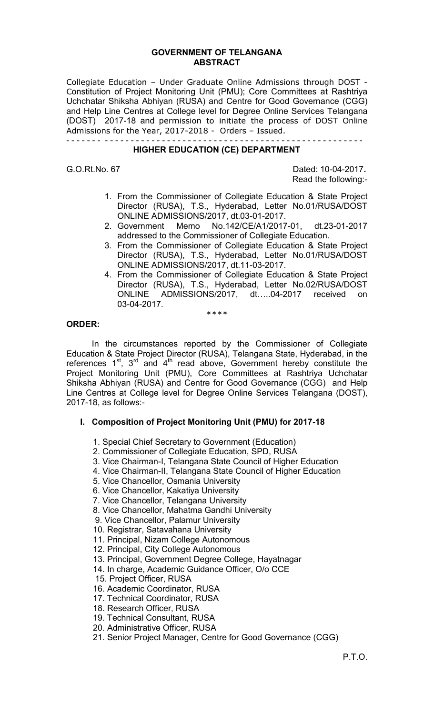#### **GOVERNMENT OF TELANGANA ABSTRACT**

Collegiate Education – Under Graduate Online Admissions through DOST - Constitution of Project Monitoring Unit (PMU); Core Committees at Rashtriya Uchchatar Shiksha Abhiyan (RUSA) and Centre for Good Governance (CGG) and Help Line Centres at College level for Degree Online Services Telangana (DOST) 2017-18 and permission to initiate the process of DOST Online Admissions for the Year, 2017-2018 - Orders – Issued.

#### - - - - - - - - - - - - - - - - - - - - - - - - - - - - - - - - - - - - - - - - - - - - - - - - - - - - - - - - - **HIGHER EDUCATION (CE) DEPARTMENT**

G.O.Rt.No. 67 Dated: 10-04-2017**.**  Read the following:-

- 1. From the Commissioner of Collegiate Education & State Project Director (RUSA), T.S., Hyderabad, Letter No.01/RUSA/DOST ONLINE ADMISSIONS/2017, dt.03-01-2017.
- 2. Government Memo No.142/CE/A1/2017-01, dt.23-01-2017 addressed to the Commissioner of Collegiate Education.
- 3. From the Commissioner of Collegiate Education & State Project Director (RUSA), T.S., Hyderabad, Letter No.01/RUSA/DOST ONLINE ADMISSIONS/2017, dt.11-03-2017.
- 4. From the Commissioner of Collegiate Education & State Project Director (RUSA), T.S., Hyderabad, Letter No.02/RUSA/DOST ONLINE ADMISSIONS/2017, dt…..04-2017 received on 03-04-2017.

\*\*\*\*

### **ORDER:**

In the circumstances reported by the Commissioner of Collegiate Education & State Project Director (RUSA), Telangana State, Hyderabad, in the references  $1^{st}$ ,  $3^{rd}$  and  $4^{th}$  read above, Government hereby constitute the Project Monitoring Unit (PMU), Core Committees at Rashtriya Uchchatar Shiksha Abhiyan (RUSA) and Centre for Good Governance (CGG) and Help Line Centres at College level for Degree Online Services Telangana (DOST), 2017-18, as follows:-

## **I. Composition of Project Monitoring Unit (PMU) for 2017-18**

- 1. Special Chief Secretary to Government (Education)
- 2. Commissioner of Collegiate Education, SPD, RUSA
- 3. Vice Chairman-I, Telangana State Council of Higher Education
- 4. Vice Chairman-II, Telangana State Council of Higher Education
- 5. Vice Chancellor, Osmania University
- 6. Vice Chancellor, Kakatiya University
- 7. Vice Chancellor, Telangana University
- 8. Vice Chancellor, Mahatma Gandhi University
- 9. Vice Chancellor, Palamur University
- 10. Registrar, Satavahana University
- 11. Principal, Nizam College Autonomous
- 12. Principal, City College Autonomous
- 13. Principal, Government Degree College, Hayatnagar
- 14. In charge, Academic Guidance Officer, O/o CCE
- 15. Project Officer, RUSA
- 16. Academic Coordinator, RUSA
- 17. Technical Coordinator, RUSA
- 18. Research Officer, RUSA
- 19. Technical Consultant, RUSA
- 20. Administrative Officer, RUSA
- 21. Senior Project Manager, Centre for Good Governance (CGG)